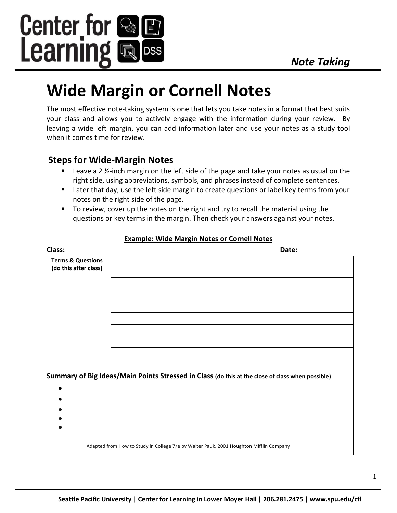

# **Wide Margin or Cornell Notes**

The most effective note-taking system is one that lets you take notes in a format that best suits your class and allows you to actively engage with the information during your review. By leaving a wide left margin, you can add information later and use your notes as a study tool when it comes time for review.

## **Steps for Wide-Margin Notes**

- Leave a 2  $\frac{1}{2}$ -inch margin on the left side of the page and take your notes as usual on the right side, using abbreviations, symbols, and phrases instead of complete sentences.
- Later that day, use the left side margin to create questions or label key terms from your notes on the right side of the page.
- To review, cover up the notes on the right and try to recall the material using the questions or key terms in the margin. Then check your answers against your notes.

| Class:                                                                                           | Date:                                                                                  |
|--------------------------------------------------------------------------------------------------|----------------------------------------------------------------------------------------|
| <b>Terms &amp; Questions</b><br>(do this after class)                                            |                                                                                        |
|                                                                                                  |                                                                                        |
|                                                                                                  |                                                                                        |
|                                                                                                  |                                                                                        |
|                                                                                                  |                                                                                        |
|                                                                                                  |                                                                                        |
| Summary of Big Ideas/Main Points Stressed in Class (do this at the close of class when possible) |                                                                                        |
|                                                                                                  |                                                                                        |
|                                                                                                  |                                                                                        |
|                                                                                                  |                                                                                        |
|                                                                                                  |                                                                                        |
|                                                                                                  | Adapted from How to Study in College 7/e by Walter Pauk, 2001 Houghton Mifflin Company |
|                                                                                                  |                                                                                        |

#### **Example: Wide Margin Notes or Cornell Notes**